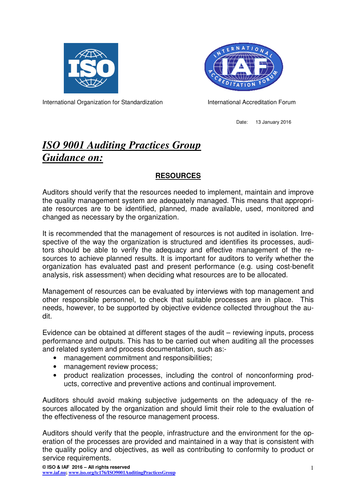



International Organization for Standardization **International Accreditation Forum** 

Date: 13 January 2016

## *ISO 9001 Auditing Practices Group Guidance on:*

## **RESOURCES**

Auditors should verify that the resources needed to implement, maintain and improve the quality management system are adequately managed. This means that appropriate resources are to be identified, planned, made available, used, monitored and changed as necessary by the organization.

It is recommended that the management of resources is not audited in isolation. Irrespective of the way the organization is structured and identifies its processes, auditors should be able to verify the adequacy and effective management of the resources to achieve planned results. It is important for auditors to verify whether the organization has evaluated past and present performance (e.g. using cost-benefit analysis, risk assessment) when deciding what resources are to be allocated.

Management of resources can be evaluated by interviews with top management and other responsible personnel, to check that suitable processes are in place. This needs, however, to be supported by objective evidence collected throughout the audit.

Evidence can be obtained at different stages of the audit – reviewing inputs, process performance and outputs. This has to be carried out when auditing all the processes and related system and process documentation, such as:-

- management commitment and responsibilities;
- management review process;
- product realization processes, including the control of nonconforming products, corrective and preventive actions and continual improvement.

Auditors should avoid making subjective judgements on the adequacy of the resources allocated by the organization and should limit their role to the evaluation of the effectiveness of the resource management process.

Auditors should verify that the people, infrastructure and the environment for the operation of the processes are provided and maintained in a way that is consistent with the quality policy and objectives, as well as contributing to conformity to product or service requirements.